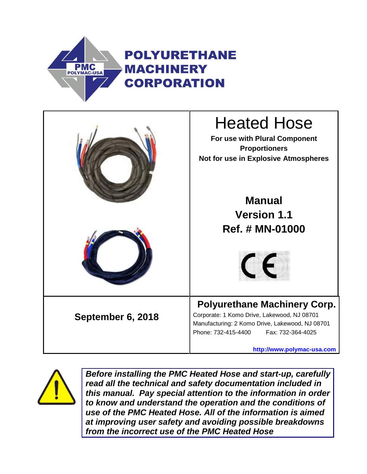





*Before installing the PMC Heated Hose and start-up, carefully read all the technical and safety documentation included in this manual. Pay special attention to the information in order to know and understand the operation and the conditions of use of the PMC Heated Hose. All of the information is aimed at improving user safety and avoiding possible breakdowns from the incorrect use of the PMC Heated Hose*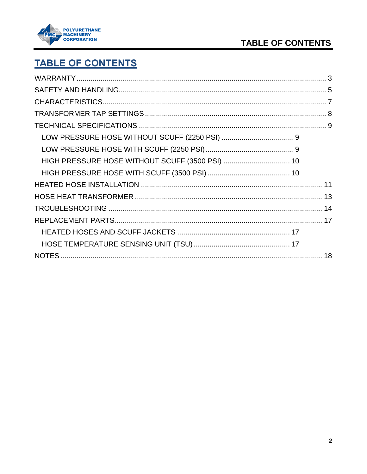

## TABLE OF CONTENTS

# **TABLE OF CONTENTS**

| HIGH PRESSURE HOSE WITHOUT SCUFF (3500 PSI)  10 |  |
|-------------------------------------------------|--|
|                                                 |  |
|                                                 |  |
|                                                 |  |
|                                                 |  |
|                                                 |  |
|                                                 |  |
|                                                 |  |
|                                                 |  |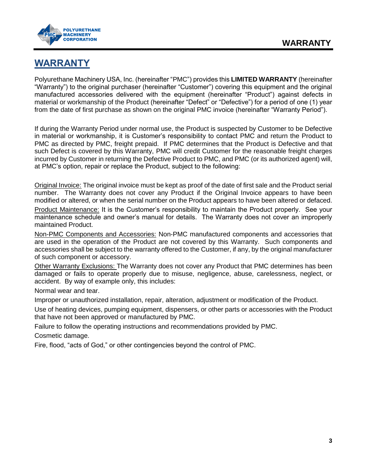

## <span id="page-2-0"></span>**WARRANTY**

Polyurethane Machinery USA, Inc. (hereinafter "PMC") provides this **LIMITED WARRANTY** (hereinafter "Warranty") to the original purchaser (hereinafter "Customer") covering this equipment and the original manufactured accessories delivered with the equipment (hereinafter "Product") against defects in material or workmanship of the Product (hereinafter "Defect" or "Defective") for a period of one (1) year from the date of first purchase as shown on the original PMC invoice (hereinafter "Warranty Period").

If during the Warranty Period under normal use, the Product is suspected by Customer to be Defective in material or workmanship, it is Customer's responsibility to contact PMC and return the Product to PMC as directed by PMC, freight prepaid. If PMC determines that the Product is Defective and that such Defect is covered by this Warranty, PMC will credit Customer for the reasonable freight charges incurred by Customer in returning the Defective Product to PMC, and PMC (or its authorized agent) will, at PMC's option, repair or replace the Product, subject to the following:

Original Invoice: The original invoice must be kept as proof of the date of first sale and the Product serial number. The Warranty does not cover any Product if the Original Invoice appears to have been modified or altered, or when the serial number on the Product appears to have been altered or defaced.

Product Maintenance: It is the Customer's responsibility to maintain the Product properly. See your maintenance schedule and owner's manual for details. The Warranty does not cover an improperly maintained Product.

Non-PMC Components and Accessories: Non-PMC manufactured components and accessories that are used in the operation of the Product are not covered by this Warranty. Such components and accessories shall be subject to the warranty offered to the Customer, if any, by the original manufacturer of such component or accessory.

Other Warranty Exclusions: The Warranty does not cover any Product that PMC determines has been damaged or fails to operate properly due to misuse, negligence, abuse, carelessness, neglect, or accident. By way of example only, this includes:

Normal wear and tear.

Improper or unauthorized installation, repair, alteration, adjustment or modification of the Product.

Use of heating devices, pumping equipment, dispensers, or other parts or accessories with the Product that have not been approved or manufactured by PMC.

Failure to follow the operating instructions and recommendations provided by PMC.

Cosmetic damage.

Fire, flood, "acts of God," or other contingencies beyond the control of PMC.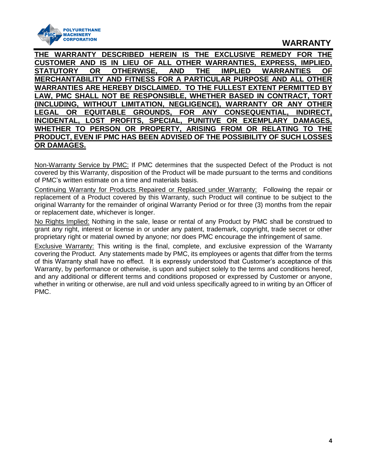

### **WARRANTY**

**THE WARRANTY DESCRIBED HEREIN IS THE EXCLUSIVE REMEDY FOR THE CUSTOMER AND IS IN LIEU OF ALL OTHER WARRANTIES, EXPRESS, IMPLIED, STATUTORY OR OTHERWISE, AND THE IMPLIED WARRANTIES OF MERCHANTABILITY AND FITNESS FOR A PARTICULAR PURPOSE AND ALL OTHER WARRANTIES ARE HEREBY DISCLAIMED. TO THE FULLEST EXTENT PERMITTED BY LAW, PMC SHALL NOT BE RESPONSIBLE, WHETHER BASED IN CONTRACT, TORT (INCLUDING, WITHOUT LIMITATION, NEGLIGENCE), WARRANTY OR ANY OTHER LEGAL OR EQUITABLE GROUNDS, FOR ANY CONSEQUENTIAL, INDIRECT, INCIDENTAL, LOST PROFITS, SPECIAL, PUNITIVE OR EXEMPLARY DAMAGES, WHETHER TO PERSON OR PROPERTY, ARISING FROM OR RELATING TO THE PRODUCT, EVEN IF PMC HAS BEEN ADVISED OF THE POSSIBILITY OF SUCH LOSSES OR DAMAGES.**

Non-Warranty Service by PMC: If PMC determines that the suspected Defect of the Product is not covered by this Warranty, disposition of the Product will be made pursuant to the terms and conditions of PMC's written estimate on a time and materials basis.

Continuing Warranty for Products Repaired or Replaced under Warranty: Following the repair or replacement of a Product covered by this Warranty, such Product will continue to be subject to the original Warranty for the remainder of original Warranty Period or for three (3) months from the repair or replacement date, whichever is longer.

No Rights Implied: Nothing in the sale, lease or rental of any Product by PMC shall be construed to grant any right, interest or license in or under any patent, trademark, copyright, trade secret or other proprietary right or material owned by anyone; nor does PMC encourage the infringement of same.

Exclusive Warranty: This writing is the final, complete, and exclusive expression of the Warranty covering the Product. Any statements made by PMC, its employees or agents that differ from the terms of this Warranty shall have no effect. It is expressly understood that Customer's acceptance of this Warranty, by performance or otherwise, is upon and subject solely to the terms and conditions hereof, and any additional or different terms and conditions proposed or expressed by Customer or anyone, whether in writing or otherwise, are null and void unless specifically agreed to in writing by an Officer of PMC.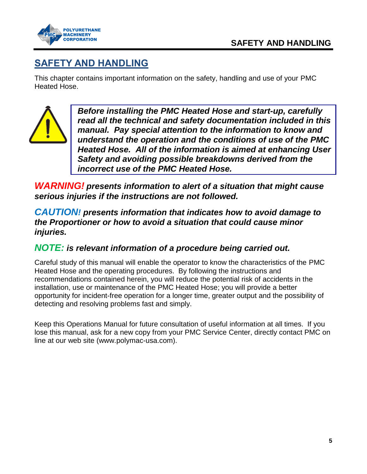

## <span id="page-4-0"></span>**SAFETY AND HANDLING**

This chapter contains important information on the safety, handling and use of your PMC Heated Hose.



*Before installing the PMC Heated Hose and start-up, carefully read all the technical and safety documentation included in this manual. Pay special attention to the information to know and understand the operation and the conditions of use of the PMC Heated Hose. All of the information is aimed at enhancing User Safety and avoiding possible breakdowns derived from the incorrect use of the PMC Heated Hose.*

*WARNING! presents information to alert of a situation that might cause serious injuries if the instructions are not followed.*

*CAUTION! presents information that indicates how to avoid damage to the Proportioner or how to avoid a situation that could cause minor injuries.*

## *NOTE: is relevant information of a procedure being carried out.*

Careful study of this manual will enable the operator to know the characteristics of the PMC Heated Hose and the operating procedures. By following the instructions and recommendations contained herein, you will reduce the potential risk of accidents in the installation, use or maintenance of the PMC Heated Hose; you will provide a better opportunity for incident-free operation for a longer time, greater output and the possibility of detecting and resolving problems fast and simply.

Keep this Operations Manual for future consultation of useful information at all times. If you lose this manual, ask for a new copy from your PMC Service Center, directly contact PMC on line at our web site (www.polymac-usa.com).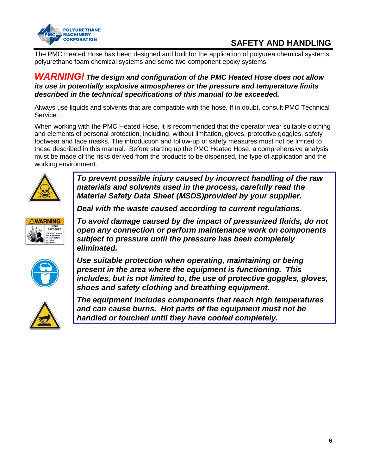

## **SAFETY AND HANDLING**

The PMC Heated Hose has been designed and built for the application of polyurea chemical systems, polyurethane foam chemical systems and some two-component epoxy systems.

#### *WARNING! The design and configuration of the PMC Heated Hose does not allow its use in potentially explosive atmospheres or the pressure and temperature limits described in the technical specifications of this manual to be exceeded.*

Always use liquids and solvents that are compatible with the hose. If in doubt, consult PMC Technical Service.

When working with the PMC Heated Hose, it is recommended that the operator wear suitable clothing and elements of personal protection, including, without limitation, gloves, protective goggles, safety footwear and face masks. The introduction and follow-up of safety measures must not be limited to those described in this manual. Before starting up the PMC Heated Hose, a comprehensive analysis must be made of the risks derived from the products to be dispensed, the type of application and the working environment.



*To prevent possible injury caused by incorrect handling of the raw materials and solvents used in the process, carefully read the Material Safety Data Sheet (MSDS)provided by your supplier.* 

*Deal with the waste caused according to current regulations.*



*To avoid damage caused by the impact of pressurized fluids, do not open any connection or perform maintenance work on components subject to pressure until the pressure has been completely eliminated.*



*Use suitable protection when operating, maintaining or being present in the area where the equipment is functioning. This includes, but is not limited to, the use of protective goggles, gloves, shoes and safety clothing and breathing equipment.*



*The equipment includes components that reach high temperatures and can cause burns. Hot parts of the equipment must not be handled or touched until they have cooled completely.*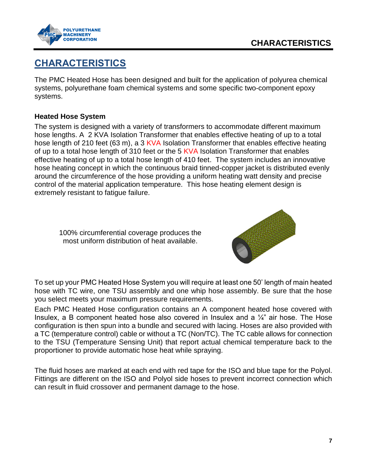



## <span id="page-6-0"></span>**CHARACTERISTICS**

The PMC Heated Hose has been designed and built for the application of polyurea chemical systems, polyurethane foam chemical systems and some specific two-component epoxy systems.

#### **Heated Hose System**

The system is designed with a variety of transformers to accommodate different maximum hose lengths. A 2 KVA Isolation Transformer that enables effective heating of up to a total hose length of 210 feet (63 m), a 3 KVA Isolation Transformer that enables effective heating of up to a total hose length of 310 feet or the 5 KVA Isolation Transformer that enables effective heating of up to a total hose length of 410 feet. The system includes an innovative hose heating concept in which the continuous braid tinned-copper jacket is distributed evenly around the circumference of the hose providing a uniform heating watt density and precise control of the material application temperature. This hose heating element design is extremely resistant to fatigue failure.

100% circumferential coverage produces the most uniform distribution of heat available.



To set up your PMC Heated Hose System you will require at least one 50' length of main heated hose with TC wire, one TSU assembly and one whip hose assembly. Be sure that the hose you select meets your maximum pressure requirements.

Each PMC Heated Hose configuration contains an A component heated hose covered with Insulex, a B component heated hose also covered in Insulex and a  $\frac{1}{4}$ " air hose. The Hose configuration is then spun into a bundle and secured with lacing. Hoses are also provided with a TC (temperature control) cable or without a TC (Non/TC). The TC cable allows for connection to the TSU (Temperature Sensing Unit) that report actual chemical temperature back to the proportioner to provide automatic hose heat while spraying.

The fluid hoses are marked at each end with red tape for the ISO and blue tape for the Polyol. Fittings are different on the ISO and Polyol side hoses to prevent incorrect connection which can result in fluid crossover and permanent damage to the hose.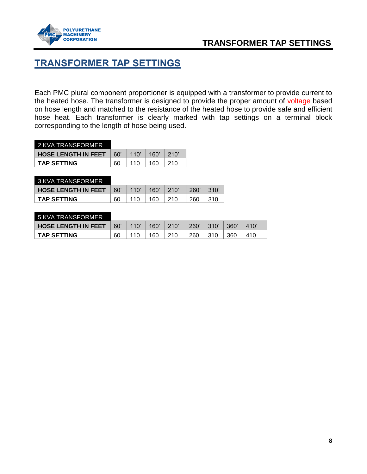

## **TRANSFORMER TAP SETTINGS**

## <span id="page-7-0"></span>**TRANSFORMER TAP SETTINGS**

Each PMC plural component proportioner is equipped with a transformer to provide current to the heated hose. The transformer is designed to provide the proper amount of voltage based on hose length and matched to the resistance of the heated hose to provide safe and efficient hose heat. Each transformer is clearly marked with tap settings on a terminal block corresponding to the length of hose being used.

| 2 KVA TRANSFORMER          |      |      |      |      |
|----------------------------|------|------|------|------|
| <b>HOSE LENGTH IN FEET</b> | .60' | 110' | 160' | 210' |
| <b>TAP SETTING</b>         | 60   | 110  | 160  |      |

| 3 KVA TRANSFORMER          |     |      |      |      |     |      |
|----------------------------|-----|------|------|------|-----|------|
| <b>HOSE LENGTH IN FEET</b> | 60' | 110' | 160' | 210' | 260 | 310' |
| <b>TAP SETTING</b>         | 60  |      | 160  |      | 260 | 310  |

| 5 KVA TRANSFORMER          |    |      |      |            |     |      |     |     |
|----------------------------|----|------|------|------------|-----|------|-----|-----|
| <b>HOSE LENGTH IN FEET</b> | 60 | 110' | 160' | 210'       | 260 | 310' | 360 |     |
| <b>TAP SETTING</b>         | 60 | 11 O | 160  | <b>210</b> | 260 | 310  | 360 | 410 |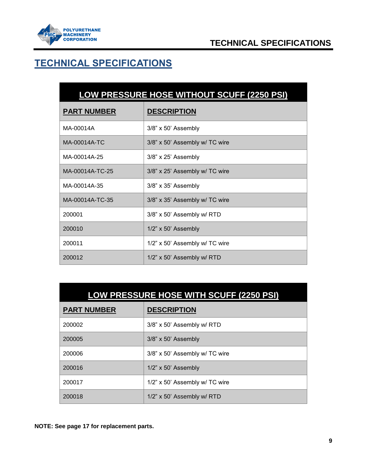

# <span id="page-8-0"></span>**TECHNICAL SPECIFICATIONS**

<span id="page-8-1"></span>

| LOW PRESSURE HOSE WITHOUT SCUFF (2250 PSI) |  |
|--------------------------------------------|--|
|                                            |  |
|                                            |  |

| <b>PART NUMBER</b> | <b>DESCRIPTION</b>             |
|--------------------|--------------------------------|
| MA-00014A          | 3/8" x 50' Assembly            |
| MA-00014A-TC       | 3/8" x 50' Assembly w/ TC wire |
| MA-00014A-25       | $3/8$ " x $25$ ' Assembly      |
| MA-00014A-TC-25    | 3/8" x 25' Assembly w/ TC wire |
| MA-00014A-35       | $3/8$ " x $35$ ' Assembly      |
| MA-00014A-TC-35    | 3/8" x 35' Assembly w/ TC wire |
| 200001             | 3/8" x 50' Assembly w/ RTD     |
| 200010             | $1/2$ " x 50' Assembly         |
| 200011             | 1/2" x 50' Assembly w/ TC wire |
| 200012             | 1/2" x 50' Assembly w/ RTD     |

<span id="page-8-2"></span>

| LOW PRESSURE HOSE WITH SCUFF (2250 PSI) |  |
|-----------------------------------------|--|
|-----------------------------------------|--|

| <b>PART NUMBER</b> | <b>DESCRIPTION</b>             |
|--------------------|--------------------------------|
| 200002             | 3/8" x 50' Assembly w/ RTD     |
| 200005             | 3/8" x 50' Assembly            |
| 200006             | 3/8" x 50' Assembly w/ TC wire |
| 200016             | $1/2$ " x 50' Assembly         |
| 200017             | 1/2" x 50' Assembly w/ TC wire |
| 200018             | 1/2" x 50' Assembly w/ RTD     |

**NOTE: See page [17](#page-16-0) for replacement parts.**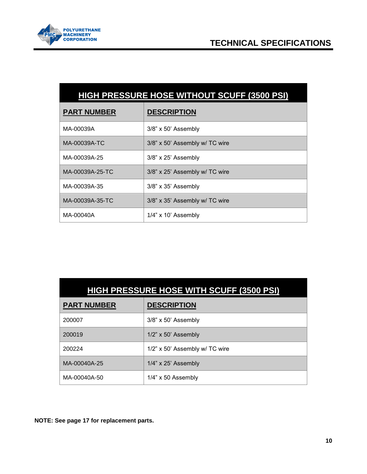

<span id="page-9-0"></span>

| HIGH PRESSURE HOSE WITHOUT SCUFF (3500 PSI) |  |
|---------------------------------------------|--|
|---------------------------------------------|--|

| <b>PART NUMBER</b> | <b>DESCRIPTION</b>             |
|--------------------|--------------------------------|
| MA-00039A          | $3/8$ " x 50' Assembly         |
| MA-00039A-TC       | 3/8" x 50' Assembly w/ TC wire |
| MA-00039A-25       | $3/8$ " x $25$ ' Assembly      |
| MA-00039A-25-TC    | 3/8" x 25' Assembly w/ TC wire |
| MA-00039A-35       | $3/8$ " x $35$ ' Assembly      |
| MA-00039A-35-TC    | 3/8" x 35' Assembly w/ TC wire |
| MA-00040A          | $1/4$ " x $10$ ' Assembly      |

<span id="page-9-1"></span>

|                    | <b>HIGH PRESSURE HOSE WITH SCUFF (3500 PSI)</b> |
|--------------------|-------------------------------------------------|
| <b>PART NUMBER</b> | <b>DESCRIPTION</b>                              |
| 200007             | 3/8" x 50' Assembly                             |
| 200019             | $1/2$ " x 50' Assembly                          |
| 200224             | $1/2$ " x 50' Assembly w/ TC wire               |
| MA-00040A-25       | $1/4$ " x 25' Assembly                          |
| MA-00040A-50       | $1/4$ " x 50 Assembly                           |

**NOTE: See page [17](#page-16-0) for replacement parts.**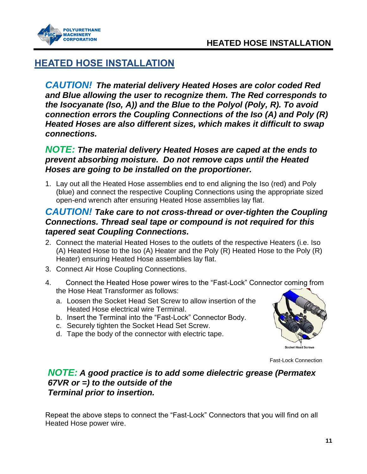



## <span id="page-10-0"></span>**HEATED HOSE INSTALLATION**

*CAUTION! The material delivery Heated Hoses are color coded Red and Blue allowing the user to recognize them. The Red corresponds to the Isocyanate (Iso, A)) and the Blue to the Polyol (Poly, R). To avoid connection errors the Coupling Connections of the Iso (A) and Poly (R) Heated Hoses are also different sizes, which makes it difficult to swap connections.*

## *NOTE: The material delivery Heated Hoses are caped at the ends to prevent absorbing moisture. Do not remove caps until the Heated Hoses are going to be installed on the proportioner.*

1. Lay out all the Heated Hose assemblies end to end aligning the Iso (red) and Poly (blue) and connect the respective Coupling Connections using the appropriate sized open-end wrench after ensuring Heated Hose assemblies lay flat.

## *CAUTION! Take care to not cross-thread or over-tighten the Coupling Connections. Thread seal tape or compound is not required for this tapered seat Coupling Connections.*

- 2. Connect the material Heated Hoses to the outlets of the respective Heaters (i.e. Iso (A) Heated Hose to the Iso (A) Heater and the Poly (R) Heated Hose to the Poly (R) Heater) ensuring Heated Hose assemblies lay flat.
- 3. Connect Air Hose Coupling Connections.
- 4. Connect the Heated Hose power wires to the "Fast-Lock" Connector coming from the Hose Heat Transformer as follows:
	- a. Loosen the Socket Head Set Screw to allow insertion of the Heated Hose electrical wire Terminal.
	- b. Insert the Terminal into the "Fast-Lock" Connector Body.
	- c. Securely tighten the Socket Head Set Screw.
	- d. Tape the body of the connector with electric tape.



Fast-Lock Connection

### *NOTE: A good practice is to add some dielectric grease (Permatex 67VR or =) to the outside of the Terminal prior to insertion.*

Repeat the above steps to connect the "Fast-Lock" Connectors that you will find on all Heated Hose power wire.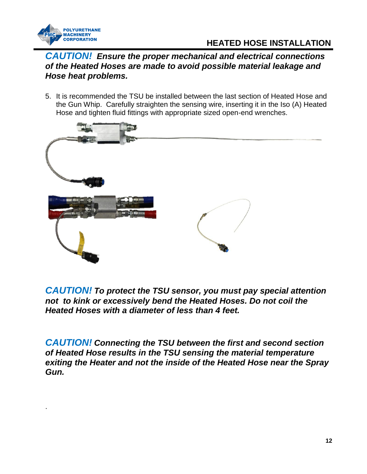

.

## **HEATED HOSE INSTALLATION**

### *CAUTION! Ensure the proper mechanical and electrical connections of the Heated Hoses are made to avoid possible material leakage and Hose heat problems.*

5. It is recommended the TSU be installed between the last section of Heated Hose and the Gun Whip. Carefully straighten the sensing wire, inserting it in the Iso (A) Heated Hose and tighten fluid fittings with appropriate sized open-end wrenches.



*CAUTION! To protect the TSU sensor, you must pay special attention not to kink or excessively bend the Heated Hoses. Do not coil the Heated Hoses with a diameter of less than 4 feet.*

*CAUTION! Connecting the TSU between the first and second section of Heated Hose results in the TSU sensing the material temperature exiting the Heater and not the inside of the Heated Hose near the Spray Gun.*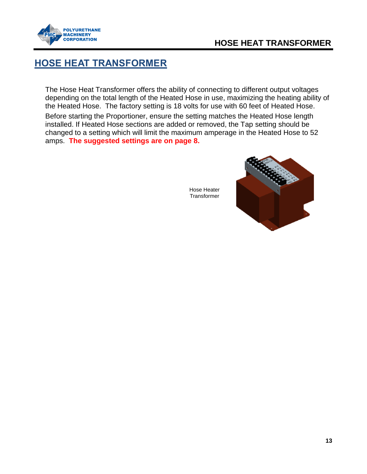

## **HOSE HEAT TRANSFORMER**

## <span id="page-12-0"></span>**HOSE HEAT TRANSFORMER**

The Hose Heat Transformer offers the ability of connecting to different output voltages depending on the total length of the Heated Hose in use, maximizing the heating ability of the Heated Hose. The factory setting is 18 volts for use with 60 feet of Heated Hose. Before starting the Proportioner, ensure the setting matches the Heated Hose length installed. If Heated Hose sections are added or removed, the Tap setting should be changed to a setting which will limit the maximum amperage in the Heated Hose to 52 amps. **The suggested settings are on page [8.](#page-7-0)**



Hose Heater **Transformer**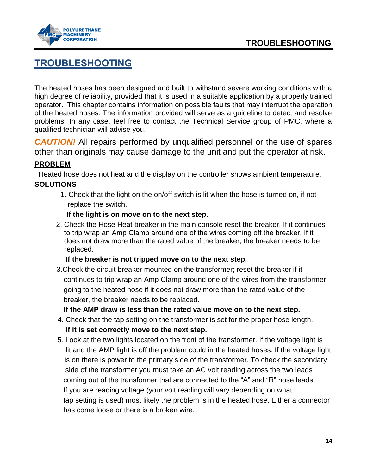



## <span id="page-13-0"></span>**TROUBLESHOOTING**

The heated hoses has been designed and built to withstand severe working conditions with a high degree of reliability, provided that it is used in a suitable application by a properly trained operator. This chapter contains information on possible faults that may interrupt the operation of the heated hoses. The information provided will serve as a guideline to detect and resolve problems. In any case, feel free to contact the Technical Service group of PMC, where a qualified technician will advise you.

**CAUTION!** All repairs performed by unqualified personnel or the use of spares other than originals may cause damage to the unit and put the operator at risk.

#### **PROBLEM**

Heated hose does not heat and the display on the controller shows ambient temperature. **SOLUTIONS**

 1. Check that the light on the on/off switch is lit when the hose is turned on, if not replace the switch.

#### **If the light is on move on to the next step.**

2. Check the Hose Heat breaker in the main console reset the breaker. If it continues to trip wrap an Amp Clamp around one of the wires coming off the breaker. If it does not draw more than the rated value of the breaker, the breaker needs to be replaced.

#### **If the breaker is not tripped move on to the next step.**

 3.Check the circuit breaker mounted on the transformer; reset the breaker if it continues to trip wrap an Amp Clamp around one of the wires from the transformer going to the heated hose if it does not draw more than the rated value of the breaker, the breaker needs to be replaced.

**If the AMP draw is less than the rated value move on to the next step.**

- 4. Check that the tap setting on the transformer is set for the proper hose length. **If it is set correctly move to the next step.**
- 5. Look at the two lights located on the front of the transformer. If the voltage light is lit and the AMP light is off the problem could in the heated hoses. If the voltage light is on there is power to the primary side of the transformer. To check the secondary side of the transformer you must take an AC volt reading across the two leads coming out of the transformer that are connected to the "A" and "R" hose leads. If you are reading voltage (your volt reading will vary depending on what tap setting is used) most likely the problem is in the heated hose. Either a connector has come loose or there is a broken wire.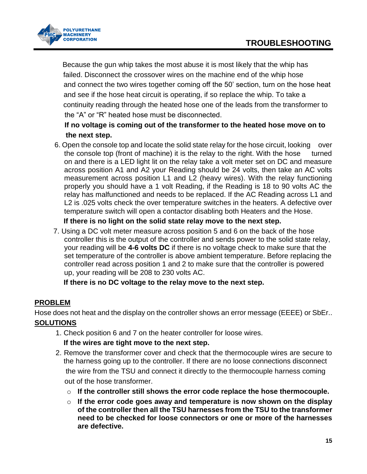

 Because the gun whip takes the most abuse it is most likely that the whip has failed. Disconnect the crossover wires on the machine end of the whip hose and connect the two wires together coming off the 50' section, turn on the hose heat and see if the hose heat circuit is operating, if so replace the whip. To take a continuity reading through the heated hose one of the leads from the transformer to the "A" or "R" heated hose must be disconnected.

### **If no voltage is coming out of the transformer to the heated hose move on to the next step.**

6. Open the console top and locate the solid state relay for the hose circuit, looking over the console top (front of machine) it is the relay to the right. With the hose turned on and there is a LED light lit on the relay take a volt meter set on DC and measure across position A1 and A2 your Reading should be 24 volts, then take an AC volts measurement across position L1 and L2 (heavy wires). With the relay functioning properly you should have a 1 volt Reading, if the Reading is 18 to 90 volts AC the relay has malfunctioned and needs to be replaced. If the AC Reading across L1 and L2 is .025 volts check the over temperature switches in the heaters. A defective over temperature switch will open a contactor disabling both Heaters and the Hose.

### **If there is no light on the solid state relay move to the next step.**

7. Using a DC volt meter measure across position 5 and 6 on the back of the hose controller this is the output of the controller and sends power to the solid state relay, your reading will be **4-6 volts DC** if there is no voltage check to make sure that the set temperature of the controller is above ambient temperature. Before replacing the controller read across position 1 and 2 to make sure that the controller is powered up, your reading will be 208 to 230 volts AC.

 **If there is no DC voltage to the relay move to the next step.**

### **PROBLEM**

Hose does not heat and the display on the controller shows an error message (EEEE) or SbEr.. **SOLUTIONS**

1. Check position 6 and 7 on the heater controller for loose wires.

### **If the wires are tight move to the next step.**

- 2. Remove the transformer cover and check that the thermocouple wires are secure to the harness going up to the controller. If there are no loose connections disconnect the wire from the TSU and connect it directly to the thermocouple harness coming out of the hose transformer.
	- o **If the controller still shows the error code replace the hose thermocouple.**
	- o **If the error code goes away and temperature is now shown on the display of the controller then all the TSU harnesses from the TSU to the transformer need to be checked for loose connectors or one or more of the harnesses are defective.**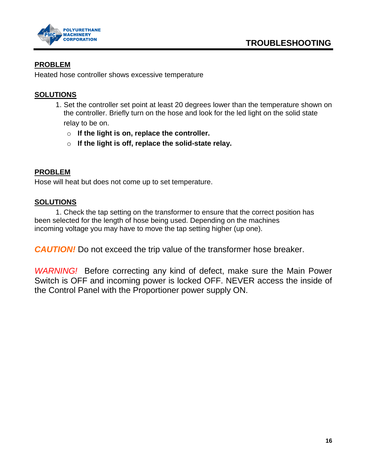

### **PROBLEM**

Heated hose controller shows excessive temperature

### **SOLUTIONS**

- 1. Set the controller set point at least 20 degrees lower than the temperature shown on the controller. Briefly turn on the hose and look for the led light on the solid state relay to be on.
	- o **If the light is on, replace the controller.**
	- o **If the light is off, replace the solid-state relay.**

### **PROBLEM**

Hose will heat but does not come up to set temperature.

#### **SOLUTIONS**

1. Check the tap setting on the transformer to ensure that the correct position has been selected for the length of hose being used. Depending on the machines incoming voltage you may have to move the tap setting higher (up one).

**CAUTION!** Do not exceed the trip value of the transformer hose breaker.

*WARNING!* Before correcting any kind of defect, make sure the Main Power Switch is OFF and incoming power is locked OFF. NEVER access the inside of the Control Panel with the Proportioner power supply ON.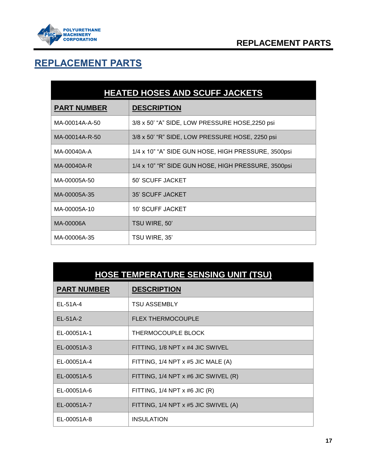

<span id="page-16-1"></span> $\blacksquare$ 

# <span id="page-16-0"></span>**REPLACEMENT PARTS**

| <b>HEATED HOSES AND SCUFF JACKETS</b> |                                                     |  |  |  |
|---------------------------------------|-----------------------------------------------------|--|--|--|
| <b>PART NUMBER</b>                    | <b>DESCRIPTION</b>                                  |  |  |  |
| MA-00014A-A-50                        | 3/8 x 50' "A" SIDE, LOW PRESSURE HOSE, 2250 psi     |  |  |  |
| MA-00014A-R-50                        | 3/8 x 50' "R" SIDE, LOW PRESSURE HOSE, 2250 psi     |  |  |  |
| MA-00040A-A                           | 1/4 x 10" "A" SIDE GUN HOSE, HIGH PRESSURE, 3500psi |  |  |  |
| MA-00040A-R                           | 1/4 x 10" "R" SIDE GUN HOSE, HIGH PRESSURE, 3500psi |  |  |  |
| MA-00005A-50                          | 50' SCUFF JACKET                                    |  |  |  |
| MA-00005A-35                          | 35' SCUFF JACKET                                    |  |  |  |
| MA-00005A-10                          | 10' SCUFF JACKET                                    |  |  |  |
| MA-00006A                             | TSU WIRE, 50'                                       |  |  |  |
| MA-00006A-35                          | TSU WIRE, 35'                                       |  |  |  |

<span id="page-16-2"></span>

| <b>HOSE TEMPERATURE SENSING UNIT (TSU)</b> |                                      |  |  |
|--------------------------------------------|--------------------------------------|--|--|
| <b>PART NUMBER</b>                         | <b>DESCRIPTION</b>                   |  |  |
| EL-51A-4                                   | <b>TSU ASSEMBLY</b>                  |  |  |
| EL-51A-2                                   | <b>FLEX THERMOCOUPLE</b>             |  |  |
| EL-00051A-1                                | THERMOCOUPLE BLOCK                   |  |  |
| EL-00051A-3                                | FITTING, 1/8 NPT x #4 JIC SWIVEL     |  |  |
| EL-00051A-4                                | FITTING, 1/4 NPT x #5 JIC MALE (A)   |  |  |
| EL-00051A-5                                | FITTING, 1/4 NPT x #6 JIC SWIVEL (R) |  |  |
| EL-00051A-6                                | FITTING, $1/4$ NPT $x$ #6 JIC (R)    |  |  |
| EL-00051A-7                                | FITTING, 1/4 NPT x #5 JIC SWIVEL (A) |  |  |
| EL-00051A-8                                | <b>INSULATION</b>                    |  |  |